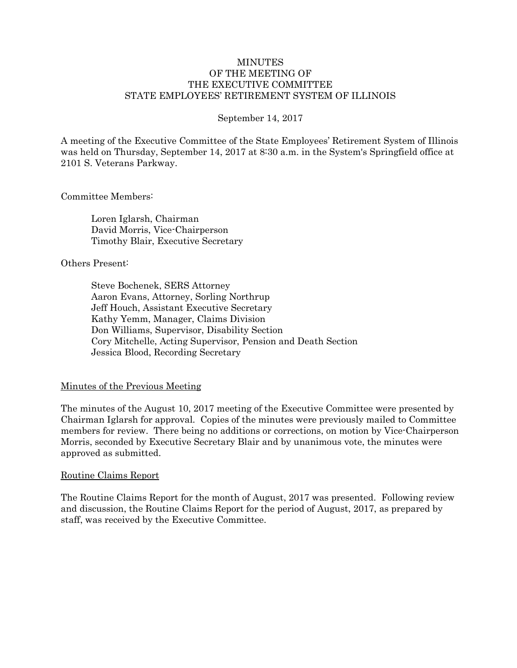#### MINUTES OF THE MEETING OF THE EXECUTIVE COMMITTEE STATE EMPLOYEES' RETIREMENT SYSTEM OF ILLINOIS

#### September 14, 2017

A meeting of the Executive Committee of the State Employees' Retirement System of Illinois was held on Thursday, September 14, 2017 at 8:30 a.m. in the System's Springfield office at 2101 S. Veterans Parkway.

Committee Members:

Loren Iglarsh, Chairman David Morris, Vice-Chairperson Timothy Blair, Executive Secretary

Others Present:

Steve Bochenek, SERS Attorney Aaron Evans, Attorney, Sorling Northrup Jeff Houch, Assistant Executive Secretary Kathy Yemm, Manager, Claims Division Don Williams, Supervisor, Disability Section Cory Mitchelle, Acting Supervisor, Pension and Death Section Jessica Blood, Recording Secretary

#### Minutes of the Previous Meeting

The minutes of the August 10, 2017 meeting of the Executive Committee were presented by Chairman Iglarsh for approval. Copies of the minutes were previously mailed to Committee members for review. There being no additions or corrections, on motion by Vice-Chairperson Morris, seconded by Executive Secretary Blair and by unanimous vote, the minutes were approved as submitted.

#### Routine Claims Report

The Routine Claims Report for the month of August, 2017 was presented. Following review and discussion, the Routine Claims Report for the period of August, 2017, as prepared by staff, was received by the Executive Committee.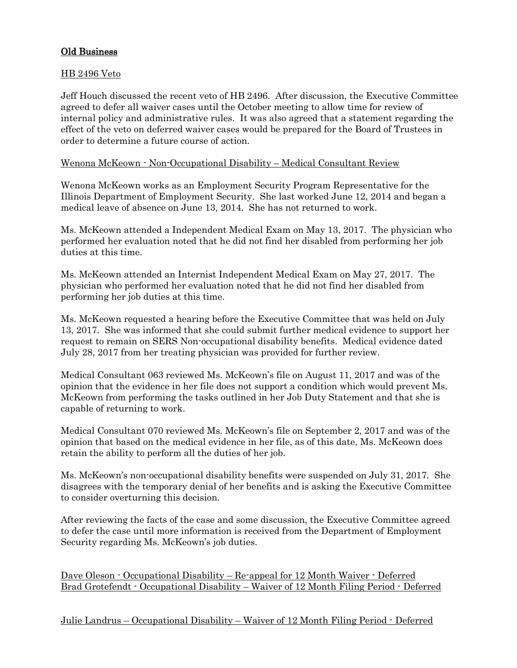## Old Business

### HB 2496 Veto

Jeff Houch discussed the recent veto of HB 2496. After discussion, the Executive Committee agreed to defer all waiver cases until the October meeting to allow time for review of internal policy and administrative rules. It was also agreed that a statement regarding the effect of the veto on deferred waiver cases would be prepared for the Board of Trustees in order to determine a future course of action.

### Wenona McKeown - Non-Occupational Disability – Medical Consultant Review

Wenona McKeown works as an Employment Security Program Representative for the Illinois Department of Employment Security. She last worked June 12, 2014 and began a medical leave of absence on June 13, 2014. She has not returned to work.

Ms. McKeown attended a Independent Medical Exam on May 13, 2017. The physician who performed her evaluation noted that he did not find her disabled from performing her job duties at this time.

Ms. McKeown attended an Internist Independent Medical Exam on May 27, 2017. The physician who performed her evaluation noted that he did not find her disabled from performing her job duties at this time.

Ms. McKeown requested a hearing before the Executive Committee that was held on July 13, 2017. She was informed that she could submit further medical evidence to support her request to remain on SERS Non-occupational disability benefits. Medical evidence dated July 28, 2017 from her treating physician was provided for further review.

Medical Consultant 063 reviewed Ms. McKeown's file on August 11, 2017 and was of the opinion that the evidence in her file does not support a condition which would prevent Ms. McKeown from performing the tasks outlined in her Job Duty Statement and that she is capable of returning to work.

Medical Consultant 070 reviewed Ms. McKeown's file on September 2, 2017 and was of the opinion that based on the medical evidence in her file, as of this date, Ms. McKeown does retain the ability to perform all the duties of her job.

Ms. McKeown's non-occupational disability benefits were suspended on July 31, 2017. She disagrees with the temporary denial of her benefits and is asking the Executive Committee to consider overturning this decision.

After reviewing the facts of the case and some discussion, the Executive Committee agreed to defer the case until more information is received from the Department of Employment Security regarding Ms. McKeown's job duties.

Dave Oleson - Occupational Disability – Re-appeal for 12 Month Waiver - Deferred Brad Grotefendt - Occupational Disability – Waiver of 12 Month Filing Period - Deferred

Julie Landrus – Occupational Disability – Waiver of 12 Month Filing Period - Deferred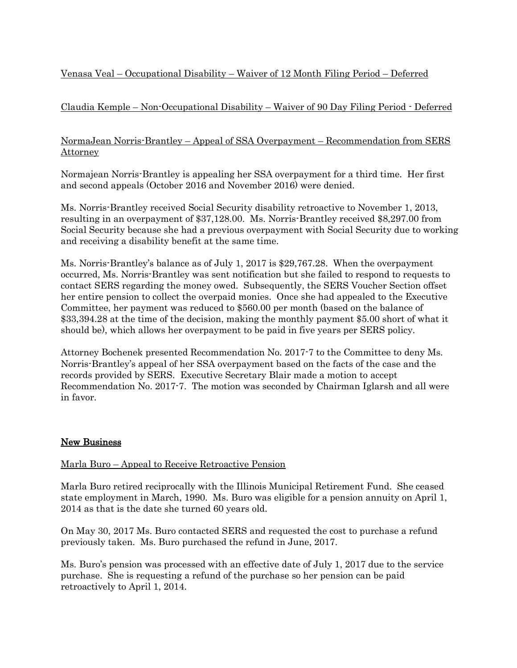# Venasa Veal – Occupational Disability – Waiver of 12 Month Filing Period – Deferred

# Claudia Kemple – Non-Occupational Disability – Waiver of 90 Day Filing Period - Deferred

### NormaJean Norris-Brantley – Appeal of SSA Overpayment – Recommendation from SERS **Attorney**

Normajean Norris-Brantley is appealing her SSA overpayment for a third time. Her first and second appeals (October 2016 and November 2016) were denied.

Ms. Norris-Brantley received Social Security disability retroactive to November 1, 2013, resulting in an overpayment of \$37,128.00. Ms. Norris-Brantley received \$8,297.00 from Social Security because she had a previous overpayment with Social Security due to working and receiving a disability benefit at the same time.

Ms. Norris-Brantley's balance as of July 1, 2017 is \$29,767.28. When the overpayment occurred, Ms. Norris-Brantley was sent notification but she failed to respond to requests to contact SERS regarding the money owed. Subsequently, the SERS Voucher Section offset her entire pension to collect the overpaid monies. Once she had appealed to the Executive Committee, her payment was reduced to \$560.00 per month (based on the balance of \$33,394.28 at the time of the decision, making the monthly payment \$5.00 short of what it should be), which allows her overpayment to be paid in five years per SERS policy.

Attorney Bochenek presented Recommendation No. 2017-7 to the Committee to deny Ms. Norris-Brantley's appeal of her SSA overpayment based on the facts of the case and the records provided by SERS. Executive Secretary Blair made a motion to accept Recommendation No. 2017-7. The motion was seconded by Chairman Iglarsh and all were in favor.

# New Business

### Marla Buro – Appeal to Receive Retroactive Pension

Marla Buro retired reciprocally with the Illinois Municipal Retirement Fund. She ceased state employment in March, 1990. Ms. Buro was eligible for a pension annuity on April 1, 2014 as that is the date she turned 60 years old.

On May 30, 2017 Ms. Buro contacted SERS and requested the cost to purchase a refund previously taken. Ms. Buro purchased the refund in June, 2017.

Ms. Buro's pension was processed with an effective date of July 1, 2017 due to the service purchase. She is requesting a refund of the purchase so her pension can be paid retroactively to April 1, 2014.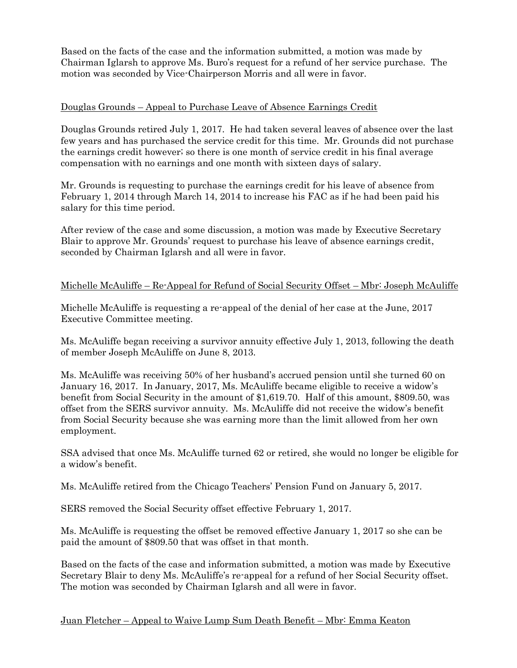Based on the facts of the case and the information submitted, a motion was made by Chairman Iglarsh to approve Ms. Buro's request for a refund of her service purchase. The motion was seconded by Vice-Chairperson Morris and all were in favor.

### Douglas Grounds – Appeal to Purchase Leave of Absence Earnings Credit

Douglas Grounds retired July 1, 2017. He had taken several leaves of absence over the last few years and has purchased the service credit for this time. Mr. Grounds did not purchase the earnings credit however; so there is one month of service credit in his final average compensation with no earnings and one month with sixteen days of salary.

Mr. Grounds is requesting to purchase the earnings credit for his leave of absence from February 1, 2014 through March 14, 2014 to increase his FAC as if he had been paid his salary for this time period.

After review of the case and some discussion, a motion was made by Executive Secretary Blair to approve Mr. Grounds' request to purchase his leave of absence earnings credit, seconded by Chairman Iglarsh and all were in favor.

### Michelle McAuliffe – Re-Appeal for Refund of Social Security Offset – Mbr: Joseph McAuliffe

Michelle McAuliffe is requesting a re-appeal of the denial of her case at the June, 2017 Executive Committee meeting.

Ms. McAuliffe began receiving a survivor annuity effective July 1, 2013, following the death of member Joseph McAuliffe on June 8, 2013.

Ms. McAuliffe was receiving 50% of her husband's accrued pension until she turned 60 on January 16, 2017. In January, 2017, Ms. McAuliffe became eligible to receive a widow's benefit from Social Security in the amount of \$1,619.70. Half of this amount, \$809.50, was offset from the SERS survivor annuity. Ms. McAuliffe did not receive the widow's benefit from Social Security because she was earning more than the limit allowed from her own employment.

SSA advised that once Ms. McAuliffe turned 62 or retired, she would no longer be eligible for a widow's benefit.

Ms. McAuliffe retired from the Chicago Teachers' Pension Fund on January 5, 2017.

SERS removed the Social Security offset effective February 1, 2017.

Ms. McAuliffe is requesting the offset be removed effective January 1, 2017 so she can be paid the amount of \$809.50 that was offset in that month.

Based on the facts of the case and information submitted, a motion was made by Executive Secretary Blair to deny Ms. McAuliffe's re-appeal for a refund of her Social Security offset. The motion was seconded by Chairman Iglarsh and all were in favor.

### Juan Fletcher – Appeal to Waive Lump Sum Death Benefit – Mbr: Emma Keaton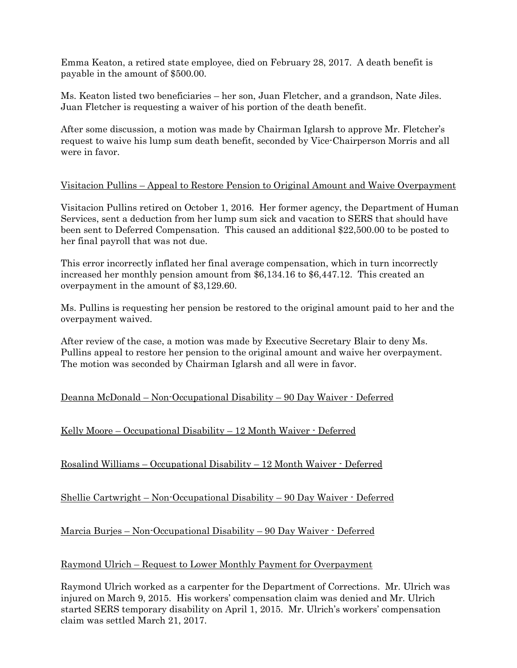Emma Keaton, a retired state employee, died on February 28, 2017. A death benefit is payable in the amount of \$500.00.

Ms. Keaton listed two beneficiaries – her son, Juan Fletcher, and a grandson, Nate Jiles. Juan Fletcher is requesting a waiver of his portion of the death benefit.

After some discussion, a motion was made by Chairman Iglarsh to approve Mr. Fletcher's request to waive his lump sum death benefit, seconded by Vice-Chairperson Morris and all were in favor.

### Visitacion Pullins – Appeal to Restore Pension to Original Amount and Waive Overpayment

Visitacion Pullins retired on October 1, 2016. Her former agency, the Department of Human Services, sent a deduction from her lump sum sick and vacation to SERS that should have been sent to Deferred Compensation. This caused an additional \$22,500.00 to be posted to her final payroll that was not due.

This error incorrectly inflated her final average compensation, which in turn incorrectly increased her monthly pension amount from \$6,134.16 to \$6,447.12. This created an overpayment in the amount of \$3,129.60.

Ms. Pullins is requesting her pension be restored to the original amount paid to her and the overpayment waived.

After review of the case, a motion was made by Executive Secretary Blair to deny Ms. Pullins appeal to restore her pension to the original amount and waive her overpayment. The motion was seconded by Chairman Iglarsh and all were in favor.

# Deanna McDonald – Non-Occupational Disability – 90 Day Waiver - Deferred

# Kelly Moore – Occupational Disability – 12 Month Waiver - Deferred

Rosalind Williams – Occupational Disability – 12 Month Waiver - Deferred

Shellie Cartwright – Non-Occupational Disability – 90 Day Waiver - Deferred

Marcia Burjes – Non-Occupational Disability – 90 Day Waiver - Deferred

### Raymond Ulrich – Request to Lower Monthly Payment for Overpayment

Raymond Ulrich worked as a carpenter for the Department of Corrections. Mr. Ulrich was injured on March 9, 2015. His workers' compensation claim was denied and Mr. Ulrich started SERS temporary disability on April 1, 2015. Mr. Ulrich's workers' compensation claim was settled March 21, 2017.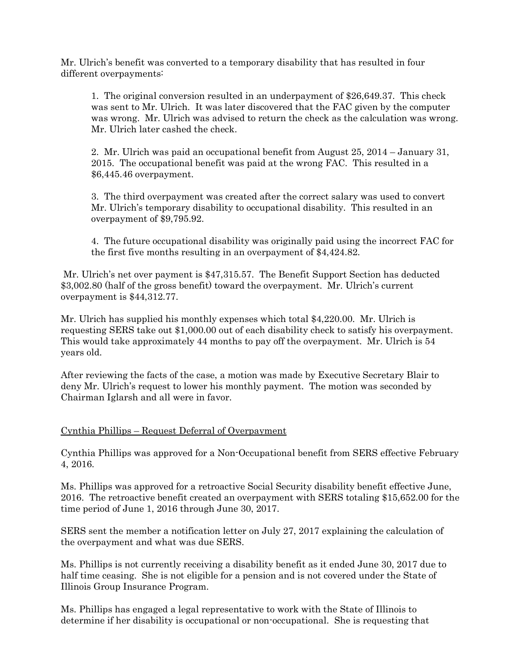Mr. Ulrich's benefit was converted to a temporary disability that has resulted in four different overpayments:

1. The original conversion resulted in an underpayment of \$26,649.37. This check was sent to Mr. Ulrich. It was later discovered that the FAC given by the computer was wrong. Mr. Ulrich was advised to return the check as the calculation was wrong. Mr. Ulrich later cashed the check.

2. Mr. Ulrich was paid an occupational benefit from August 25, 2014 – January 31, 2015. The occupational benefit was paid at the wrong FAC. This resulted in a \$6,445.46 overpayment.

3. The third overpayment was created after the correct salary was used to convert Mr. Ulrich's temporary disability to occupational disability. This resulted in an overpayment of \$9,795.92.

4. The future occupational disability was originally paid using the incorrect FAC for the first five months resulting in an overpayment of \$4,424.82.

Mr. Ulrich's net over payment is \$47,315.57. The Benefit Support Section has deducted \$3,002.80 (half of the gross benefit) toward the overpayment. Mr. Ulrich's current overpayment is \$44,312.77.

Mr. Ulrich has supplied his monthly expenses which total \$4,220.00. Mr. Ulrich is requesting SERS take out \$1,000.00 out of each disability check to satisfy his overpayment. This would take approximately 44 months to pay off the overpayment. Mr. Ulrich is 54 years old.

After reviewing the facts of the case, a motion was made by Executive Secretary Blair to deny Mr. Ulrich's request to lower his monthly payment. The motion was seconded by Chairman Iglarsh and all were in favor.

### Cynthia Phillips – Request Deferral of Overpayment

Cynthia Phillips was approved for a Non-Occupational benefit from SERS effective February 4, 2016.

Ms. Phillips was approved for a retroactive Social Security disability benefit effective June, 2016. The retroactive benefit created an overpayment with SERS totaling \$15,652.00 for the time period of June 1, 2016 through June 30, 2017.

SERS sent the member a notification letter on July 27, 2017 explaining the calculation of the overpayment and what was due SERS.

Ms. Phillips is not currently receiving a disability benefit as it ended June 30, 2017 due to half time ceasing. She is not eligible for a pension and is not covered under the State of Illinois Group Insurance Program.

Ms. Phillips has engaged a legal representative to work with the State of Illinois to determine if her disability is occupational or non-occupational. She is requesting that